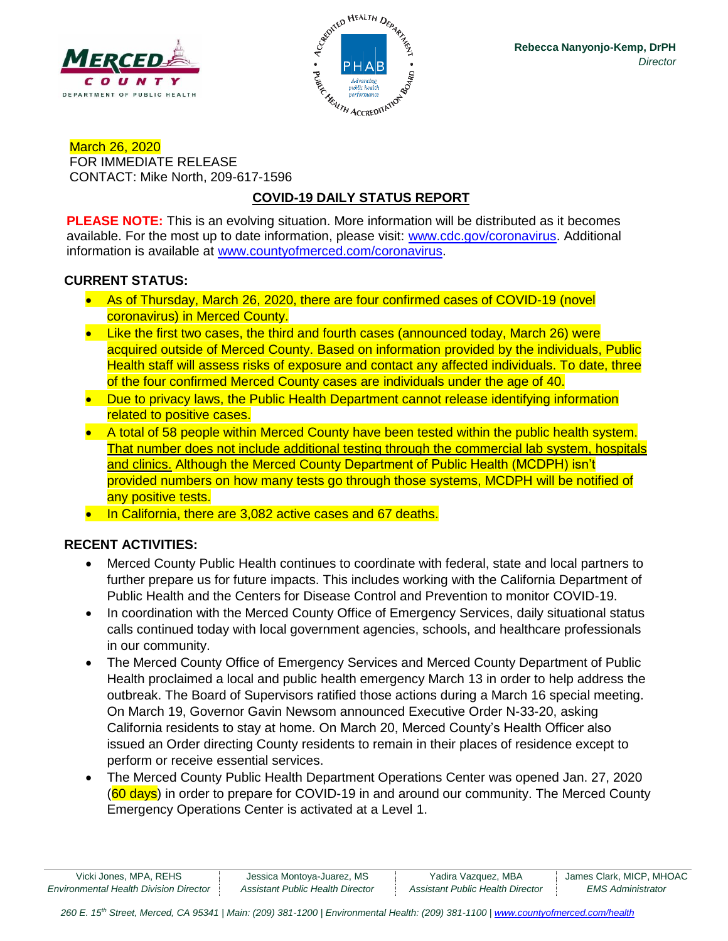



March 26, 2020 FOR IMMEDIATE RELEASE CONTACT: Mike North, 209-617-1596

# **COVID-19 DAILY STATUS REPORT**

**PLEASE NOTE:** This is an evolving situation. More information will be distributed as it becomes available. For the most up to date information, please visit: [www.cdc.gov/coronavirus.](http://www.cdc.gov/coronavirus) Additional information is available at [www.countyofmerced.com/coronavirus.](http://www.countyofmerced.com/coronavirus)

### **CURRENT STATUS:**

- As of Thursday, March 26, 2020, there are four confirmed cases of COVID-19 (novel coronavirus) in Merced County.
- Like the first two cases, the third and fourth cases (announced today, March 26) were acquired outside of Merced County. Based on information provided by the individuals, Public Health staff will assess risks of exposure and contact any affected individuals. To date, three of the four confirmed Merced County cases are individuals under the age of 40.
- Due to privacy laws, the Public Health Department cannot release identifying information related to positive cases.
- A total of 58 people within Merced County have been tested within the public health system. That number does not include additional testing through the commercial lab system, hospitals and clinics. Although the Merced County Department of Public Health (MCDPH) isn't provided numbers on how many tests go through those systems, MCDPH will be notified of any positive tests.
- In California, there are 3,082 active cases and 67 deaths.

# **RECENT ACTIVITIES:**

- Merced County Public Health continues to coordinate with federal, state and local partners to further prepare us for future impacts. This includes working with the California Department of Public Health and the Centers for Disease Control and Prevention to monitor COVID-19.
- In coordination with the Merced County Office of Emergency Services, daily situational status calls continued today with local government agencies, schools, and healthcare professionals in our community.
- The Merced County Office of Emergency Services and Merced County Department of Public Health proclaimed a local and public health emergency March 13 in order to help address the outbreak. The Board of Supervisors ratified those actions during a March 16 special meeting. On March 19, Governor Gavin Newsom announced Executive Order N-33-20, asking California residents to stay at home. On March 20, Merced County's Health Officer also issued an Order directing County residents to remain in their places of residence except to perform or receive essential services.
- The Merced County Public Health Department Operations Center was opened Jan. 27, 2020 (60 days) in order to prepare for COVID-19 in and around our community. The Merced County Emergency Operations Center is activated at a Level 1.